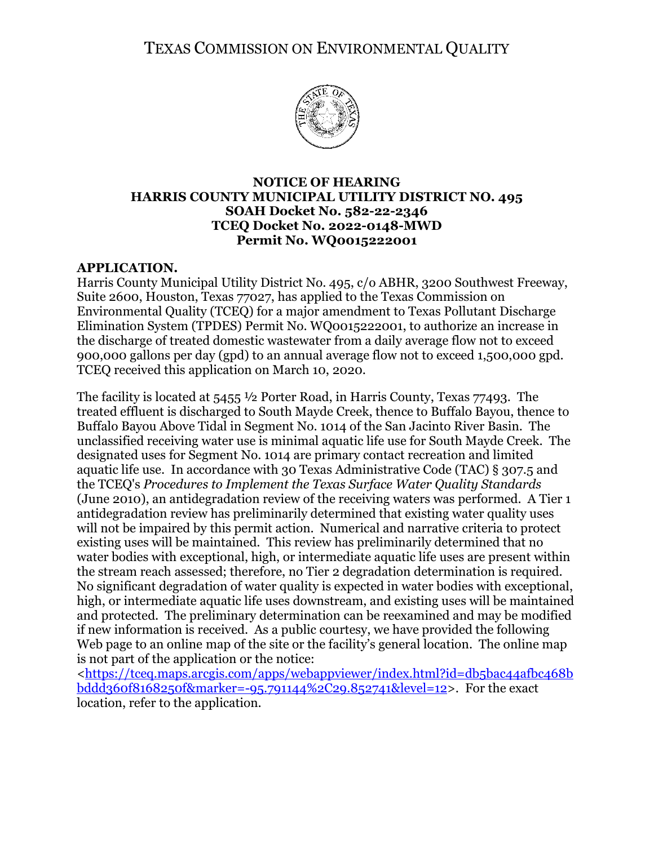TEXAS COMMISSION ON ENVIRONMENTAL QUALITY



### **NOTICE OF HEARING HARRIS COUNTY MUNICIPAL UTILITY DISTRICT NO. 495 SOAH Docket No. 582-22-2346 TCEQ Docket No. 2022-0148-MWD Permit No. WQ0015222001**

# **APPLICATION.**

Harris County Municipal Utility District No. 495, c/o ABHR, 3200 Southwest Freeway, Suite 2600, Houston, Texas 77027, has applied to the Texas Commission on Environmental Quality (TCEQ) for a major amendment to Texas Pollutant Discharge Elimination System (TPDES) Permit No. WQ0015222001, to authorize an increase in the discharge of treated domestic wastewater from a daily average flow not to exceed 900,000 gallons per day (gpd) to an annual average flow not to exceed 1,500,000 gpd. TCEQ received this application on March 10, 2020.

The facility is located at  $5455 \frac{1}{2}$  Porter Road, in Harris County, Texas 77493. The treated effluent is discharged to South Mayde Creek, thence to Buffalo Bayou, thence to Buffalo Bayou Above Tidal in Segment No. 1014 of the San Jacinto River Basin. The unclassified receiving water use is minimal aquatic life use for South Mayde Creek. The designated uses for Segment No. 1014 are primary contact recreation and limited aquatic life use. In accordance with 30 Texas Administrative Code (TAC) § 307.5 and the TCEQ's *Procedures to Implement the Texas Surface Water Quality Standards* (June 2010), an antidegradation review of the receiving waters was performed. A Tier 1 antidegradation review has preliminarily determined that existing water quality uses will not be impaired by this permit action. Numerical and narrative criteria to protect existing uses will be maintained. This review has preliminarily determined that no water bodies with exceptional, high, or intermediate aquatic life uses are present within the stream reach assessed; therefore, no Tier 2 degradation determination is required. No significant degradation of water quality is expected in water bodies with exceptional, high, or intermediate aquatic life uses downstream, and existing uses will be maintained and protected. The preliminary determination can be reexamined and may be modified if new information is received. As a public courtesy, we have provided the following Web page to an online map of the site or the facility's general location. The online map is not part of the application or the notice:

[<https://tceq.maps.arcgis.com/apps/webappviewer/index.html?id=db5bac44afbc468b](https://tceq.maps.arcgis.com/apps/webappviewer/index.html?id=db5bac44afbc468bbddd360f8168250f&marker=-95.791144%2C29.852741&level=12) [bddd360f8168250f&marker=-95.791144%2C29.852741&level=12>](https://tceq.maps.arcgis.com/apps/webappviewer/index.html?id=db5bac44afbc468bbddd360f8168250f&marker=-95.791144%2C29.852741&level=12). For the exact location, refer to the application.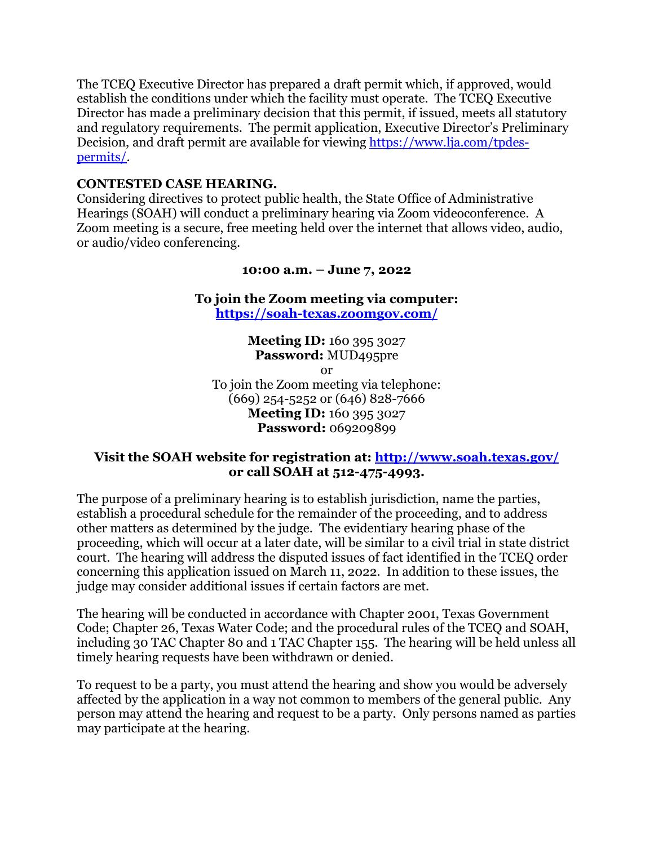The TCEQ Executive Director has prepared a draft permit which, if approved, would establish the conditions under which the facility must operate. The TCEQ Executive Director has made a preliminary decision that this permit, if issued, meets all statutory and regulatory requirements. The permit application, Executive Director's Preliminary Decision, and draft permit are available for viewing [https://www.lja.com/tpdes](https://www.lja.com/tpdes-permits/)[permits/.](https://www.lja.com/tpdes-permits/)

# **CONTESTED CASE HEARING.**

Considering directives to protect public health, the State Office of Administrative Hearings (SOAH) will conduct a preliminary hearing via Zoom videoconference. A Zoom meeting is a secure, free meeting held over the internet that allows video, audio, or audio/video conferencing.

### **10:00 a.m. – June 7, 2022**

**To join the Zoom meeting via computer: <https://soah-texas.zoomgov.com/>**

**Meeting ID:** 160 395 3027 **Password:** MUD495pre or To join the Zoom meeting via telephone: (669) 254-5252 or (646) 828-7666 **Meeting ID:** 160 395 3027 **Password:** 069209899

# **Visit the SOAH website for registration at:<http://www.soah.texas.gov/> or call SOAH at 512-475-4993.**

The purpose of a preliminary hearing is to establish jurisdiction, name the parties, establish a procedural schedule for the remainder of the proceeding, and to address other matters as determined by the judge. The evidentiary hearing phase of the proceeding, which will occur at a later date, will be similar to a civil trial in state district court. The hearing will address the disputed issues of fact identified in the TCEQ order concerning this application issued on March 11, 2022. In addition to these issues, the judge may consider additional issues if certain factors are met.

The hearing will be conducted in accordance with Chapter 2001, Texas Government Code; Chapter 26, Texas Water Code; and the procedural rules of the TCEQ and SOAH, including 30 TAC Chapter 80 and 1 TAC Chapter 155. The hearing will be held unless all timely hearing requests have been withdrawn or denied.

To request to be a party, you must attend the hearing and show you would be adversely affected by the application in a way not common to members of the general public. Any person may attend the hearing and request to be a party. Only persons named as parties may participate at the hearing.